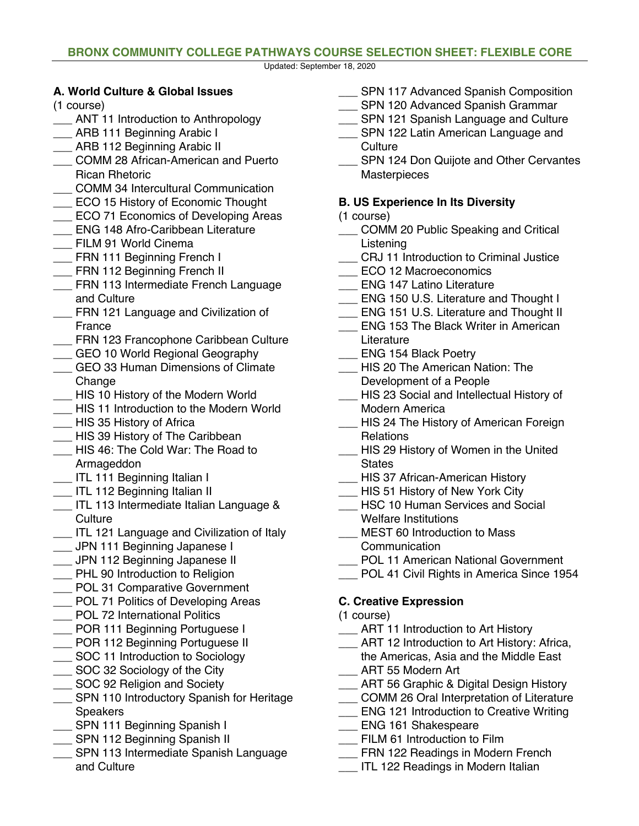#### **BRONX COMMUNITY COLLEGE PATHWAYS COURSE SELECTION SHEET: FLEXIBLE CORE**

Updated: September 18, 2020

### **A. World Culture & Global Issues**

(1 course)

- \_\_\_ ANT 11 Introduction to Anthropology
- \_\_\_ ARB 111 Beginning Arabic I
- \_\_ ARB 112 Beginning Arabic II
- \_\_\_ COMM 28 African-American and Puerto Rican Rhetoric
- \_\_\_ COMM 34 Intercultural Communication
- **ECO 15 History of Economic Thought**
- ECO 71 Economics of Developing Areas
- \_\_\_ ENG 148 Afro-Caribbean Literature
- FILM 91 World Cinema
- **\_\_\_ FRN 111 Beginning French I**
- **ERN 112 Beginning French II**
- \_\_\_ FRN 113 Intermediate French Language and Culture
- **ERN 121 Language and Civilization of** France
- \_\_\_ FRN 123 Francophone Caribbean Culture
- **LEGU 10 World Regional Geography**
- \_\_\_ GEO 33 Human Dimensions of Climate Change
- \_\_\_ HIS 10 History of the Modern World
- \_\_\_ HIS 11 Introduction to the Modern World
- \_\_\_ HIS 35 History of Africa
- \_\_\_ HIS 39 History of The Caribbean
- \_\_\_ HIS 46: The Cold War: The Road to Armageddon
- \_\_\_ ITL 111 Beginning Italian I
- **\_\_\_** ITL 112 Beginning Italian II
- \_\_\_ ITL 113 Intermediate Italian Language & **Culture**
- \_\_\_ ITL 121 Language and Civilization of Italy
- \_\_\_ JPN 111 Beginning Japanese I
- \_\_\_ JPN 112 Beginning Japanese II
- **\_\_\_** PHL 90 Introduction to Religion
- **\_\_\_ POL 31 Comparative Government**
- POL 71 Politics of Developing Areas
- \_\_\_ POL 72 International Politics
- \_\_ POR 111 Beginning Portuguese I
- **\_\_\_ POR 112 Beginning Portuguese II**
- \_\_\_ SOC 11 Introduction to Sociology
- \_\_\_ SOC 32 Sociology of the City
- \_\_\_ SOC 92 Religion and Society
- **SPN 110 Introductory Spanish for Heritage** Speakers
- \_\_ SPN 111 Beginning Spanish I
- \_\_ SPN 112 Beginning Spanish II
- **SPN 113 Intermediate Spanish Language** and Culture
- **\_\_\_ SPN 117 Advanced Spanish Composition**
- SPN 120 Advanced Spanish Grammar
- **\_\_\_ SPN 121 Spanish Language and Culture**
- **\_\_\_ SPN 122 Latin American Language and Culture**
- **SPN 124 Don Quijote and Other Cervantes Masterpieces**

## **B. US Experience In Its Diversity**

- (1 course)
- \_\_\_ COMM 20 Public Speaking and Critical Listening
- \_\_\_ CRJ 11 Introduction to Criminal Justice
- ECO 12 Macroeconomics
- \_\_\_ ENG 147 Latino Literature
- ENG 150 U.S. Literature and Thought I
- \_\_\_ ENG 151 U.S. Literature and Thought II
- ENG 153 The Black Writer in American Literature
- ENG 154 Black Poetry
- HIS 20 The American Nation: The Development of a People
- HIS 23 Social and Intellectual History of Modern America
- HIS 24 The History of American Foreign **Relations**
- HIS 29 History of Women in the United **States**
- HIS 37 African-American History
- HIS 51 History of New York City
- HSC 10 Human Services and Social Welfare Institutions
- \_\_\_ MEST 60 Introduction to Mass
- **Communication**
- POL 11 American National Government
- \_\_\_ POL 41 Civil Rights in America Since 1954

# **C. Creative Expression**

- (1 course)
- \_\_\_ ART 11 Introduction to Art History
- ART 12 Introduction to Art History: Africa, the Americas, Asia and the Middle East
- \_\_\_ ART 55 Modern Art
- ART 56 Graphic & Digital Design History
- \_\_\_ COMM 26 Oral Interpretation of Literature
- **ENG 121 Introduction to Creative Writing**
- \_\_ ENG 161 Shakespeare
- FILM 61 Introduction to Film
- FRN 122 Readings in Modern French
- \_\_\_ ITL 122 Readings in Modern Italian